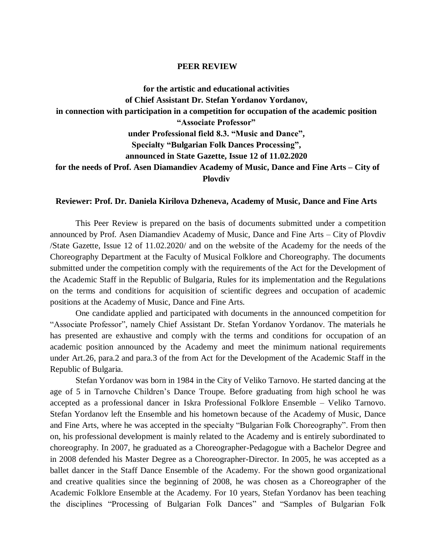## **PEER REVIEW**

**for the artistic and educational activities of Chief Assistant Dr. Stefan Yordanov Yordanov, in connection with participation in a competition for occupation of the academic position "Associate Professor" under Professional field 8.3. "Music and Dance", Specialty "Bulgarian Folk Dances Processing", announced in State Gazette, Issue 12 of 11.02.2020 for the needs of Prof. Asen Diamandiev Academy of Music, Dance and Fine Arts – City of Plovdiv**

## **Reviewer: Prof. Dr. Daniela Kirilova Dzheneva, Academy of Music, Dance and Fine Arts**

This Peer Review is prepared on the basis of documents submitted under a competition announced by Prof. Asen Diamandiev Academy of Music, Dance and Fine Arts – City of Plovdiv /State Gazette, Issue 12 of 11.02.2020/ and on the website of the Academy for the needs of the Choreography Department at the Faculty of Musical Folklore and Choreography. The documents submitted under the competition comply with the requirements of the Act for the Development of the Academic Staff in the Republic of Bulgaria, Rules for its implementation and the Regulations on the terms and conditions for acquisition of scientific degrees and occupation of academic positions at the Academy of Music, Dance and Fine Arts.

One candidate applied and participated with documents in the announced competition for "Associate Professor", namely Chief Assistant Dr. Stefan Yordanov Yordanov. The materials he has presented are exhaustive and comply with the terms and conditions for occupation of an academic position announced by the Academy and meet the minimum national requirements under Art.26, para.2 and para.3 of the from Act for the Development of the Academic Staff in the Republic of Bulgaria.

Stefan Yordanov was born in 1984 in the City of Veliko Tarnovo. He started dancing at the age of 5 in Tarnovche Children's Dance Troupe. Before graduating from high school he was accepted as a professional dancer in Iskra Professional Folklore Ensemble – Veliko Tarnovo. Stefan Yordanov left the Ensemble and his hometown because of the Academy of Music, Dance and Fine Arts, where he was accepted in the specialty "Bulgarian Folk Choreography". From then on, his professional development is mainly related to the Academy and is entirely subordinated to choreography. In 2007, he graduated as a Choreographer-Pedagogue with a Bachelor Degree and in 2008 defended his Master Degree as a Choreographer-Director. In 2005, he was accepted as a ballet dancer in the Staff Dance Ensemble of the Academy. For the shown good organizational and creative qualities since the beginning of 2008, he was chosen as a Choreographer of the Academic Folklore Ensemble at the Academy. For 10 years, Stefan Yordanov has been teaching the disciplines "Processing of Bulgarian Folk Dances" and "Samples of Bulgarian Folk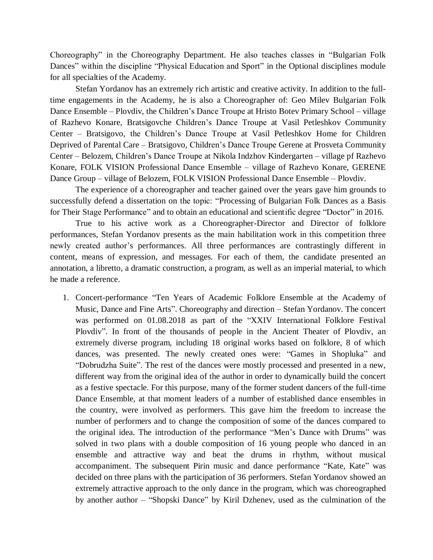Choreography" in the Choreography Department. He also teaches classes in "Bulgarian Folk Dances" within the discipline "Physical Education and Sport" in the Optional disciplines module for all specialties of the Academy.

Stefan Yordanov has an extremely rich artistic and creative activity. In addition to the fulltime engagements in the Academy, he is also a Choreographer of: Geo Milev Bulgarian Folk Dance Ensemble – Plovdiv, the Children's Dance Troupe at Hristo Botev Primary School – village of Razhevo Konare, Bratsigovche Children's Dance Troupe at Vasil Petleshkov Community Center – Bratsigovo, the Children's Dance Troupe at Vasil Petleshkov Home for Children Deprived of Parental Care – Bratsigovo, Children's Dance Troupe Gerene at Prosveta Community Center – Belozem, Children's Dance Troupe at Nikola Indzhov Kindergarten – village pf Razhevo Konare, FOLK VISION Professional Dance Ensemble – village of Razhevo Konare, GERENE Dance Group – village of Belozem, FOLK VISION Professional Dance Ensemble – Plovdiv.

The experience of a choreographer and teacher gained over the years gave him grounds to successfully defend a dissertation on the topic: "Processing of Bulgarian Folk Dances as a Basis for Their Stage Performance" and to obtain an educational and scientific degree "Doctor" in 2016.

True to his active work as a Choreographer-Director and Director of folklore performances, Stefan Yordanov presents as the main habilitation work in this competition three newly created author's performances. All three performances are contrastingly different in content, means of expression, and messages. For each of them, the candidate presented an annotation, a libretto, a dramatic construction, a program, as well as an imperial material, to which he made a reference.

1. Concert-performance "Ten Years of Academic Folklore Ensemble at the Academy of Music, Dance and Fine Arts". Choreography and direction – Stefan Yordanov. The concert was performed on 01.08.2018 as part of the "XXIV International Folklore Festival Plovdiv". In front of the thousands of people in the Ancient Theater of Plovdiv, an extremely diverse program, including 18 original works based on folklore, 8 of which dances, was presented. The newly created ones were: "Games in Shopluka" and "Dobrudzha Suite". The rest of the dances were mostly processed and presented in a new, different way from the original idea of the author in order to dynamically build the concert as a festive spectacle. For this purpose, many of the former student dancers of the full-time Dance Ensemble, at that moment leaders of a number of established dance ensembles in the country, were involved as performers. This gave him the freedom to increase the number of performers and to change the composition of some of the dances compared to the original idea. The introduction of the performance "Men's Dance with Drums" was solved in two plans with a double composition of 16 young people who danced in an ensemble and attractive way and beat the drums in rhythm, without musical accompaniment. The subsequent Pirin music and dance performance "Kate, Kate" was decided on three plans with the participation of 36 performers. Stefan Yordanov showed an extremely attractive approach to the only dance in the program, which was choreographed by another author – "Shopski Dance" by Kiril Dzhenev, used as the culmination of the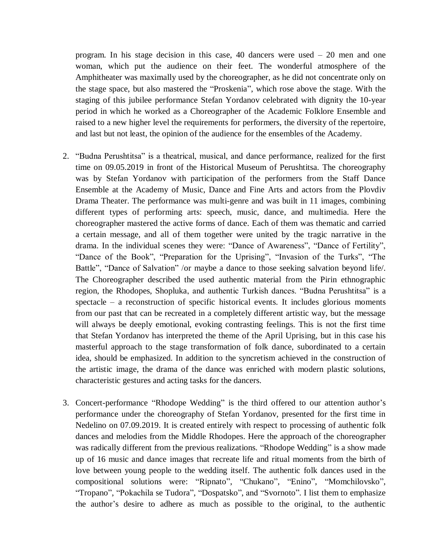program. In his stage decision in this case, 40 dancers were used – 20 men and one woman, which put the audience on their feet. The wonderful atmosphere of the Amphitheater was maximally used by the choreographer, as he did not concentrate only on the stage space, but also mastered the "Proskenia", which rose above the stage. With the staging of this jubilee performance Stefan Yordanov celebrated with dignity the 10-year period in which he worked as a Choreographer of the Academic Folklore Ensemble and raised to a new higher level the requirements for performers, the diversity of the repertoire, and last but not least, the opinion of the audience for the ensembles of the Academy.

- 2. "Budna Perushtitsa" is a theatrical, musical, and dance performance, realized for the first time on 09.05.2019 in front of the Historical Museum of Perushtitsa. The choreography was by Stefan Yordanov with participation of the performers from the Staff Dance Ensemble at the Academy of Music, Dance and Fine Arts and actors from the Plovdiv Drama Theater. The performance was multi-genre and was built in 11 images, combining different types of performing arts: speech, music, dance, and multimedia. Here the choreographer mastered the active forms of dance. Each of them was thematic and carried a certain message, and all of them together were united by the tragic narrative in the drama. In the individual scenes they were: "Dance of Awareness", "Dance of Fertility", "Dance of the Book", "Preparation for the Uprising", "Invasion of the Turks", "The Battle", "Dance of Salvation" /or maybe a dance to those seeking salvation beyond life/. The Choreographer described the used authentic material from the Pirin ethnographic region, the Rhodopes, Shopluka, and authentic Turkish dances. "Budna Perushtitsa" is a spectacle – a reconstruction of specific historical events. It includes glorious moments from our past that can be recreated in a completely different artistic way, but the message will always be deeply emotional, evoking contrasting feelings. This is not the first time that Stefan Yordanov has interpreted the theme of the April Uprising, but in this case his masterful approach to the stage transformation of folk dance, subordinated to a certain idea, should be emphasized. In addition to the syncretism achieved in the construction of the artistic image, the drama of the dance was enriched with modern plastic solutions, characteristic gestures and acting tasks for the dancers.
- 3. Concert-performance "Rhodope Wedding" is the third offered to our attention author's performance under the choreography of Stefan Yordanov, presented for the first time in Nedelino on 07.09.2019. It is created entirely with respect to processing of authentic folk dances and melodies from the Middle Rhodopes. Here the approach of the choreographer was radically different from the previous realizations. "Rhodope Wedding" is a show made up of 16 music and dance images that recreate life and ritual moments from the birth of love between young people to the wedding itself. The authentic folk dances used in the compositional solutions were: "Ripnato", "Chukano", "Enino", "Momchilovsko", "Tropano", "Pokachila se Tudora", "Dospatsko", and "Svornoto". I list them to emphasize the author's desire to adhere as much as possible to the original, to the authentic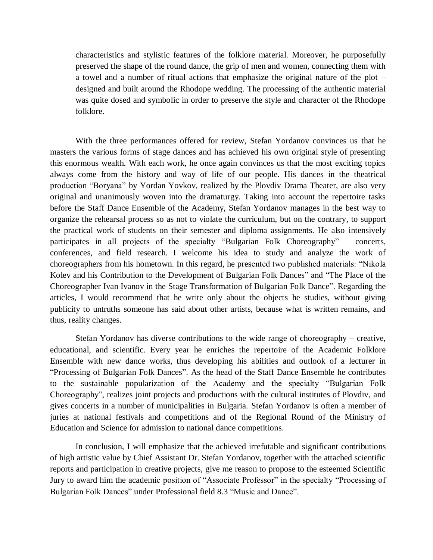characteristics and stylistic features of the folklore material. Moreover, he purposefully preserved the shape of the round dance, the grip of men and women, connecting them with a towel and a number of ritual actions that emphasize the original nature of the plot – designed and built around the Rhodope wedding. The processing of the authentic material was quite dosed and symbolic in order to preserve the style and character of the Rhodope folklore.

With the three performances offered for review, Stefan Yordanov convinces us that he masters the various forms of stage dances and has achieved his own original style of presenting this enormous wealth. With each work, he once again convinces us that the most exciting topics always come from the history and way of life of our people. His dances in the theatrical production "Boryana" by Yordan Yovkov, realized by the Plovdiv Drama Theater, are also very original and unanimously woven into the dramaturgy. Taking into account the repertoire tasks before the Staff Dance Ensemble of the Academy, Stefan Yordanov manages in the best way to organize the rehearsal process so as not to violate the curriculum, but on the contrary, to support the practical work of students on their semester and diploma assignments. He also intensively participates in all projects of the specialty "Bulgarian Folk Choreography" – concerts, conferences, and field research. I welcome his idea to study and analyze the work of choreographers from his hometown. In this regard, he presented two published materials: "Nikola Kolev and his Contribution to the Development of Bulgarian Folk Dances" and "The Place of the Choreographer Ivan Ivanov in the Stage Transformation of Bulgarian Folk Dance". Regarding the articles, I would recommend that he write only about the objects he studies, without giving publicity to untruths someone has said about other artists, because what is written remains, and thus, reality changes.

Stefan Yordanov has diverse contributions to the wide range of choreography – creative, educational, and scientific. Every year he enriches the repertoire of the Academic Folklore Ensemble with new dance works, thus developing his abilities and outlook of a lecturer in "Processing of Bulgarian Folk Dances". As the head of the Staff Dance Ensemble he contributes to the sustainable popularization of the Academy and the specialty "Bulgarian Folk Choreography", realizes joint projects and productions with the cultural institutes of Plovdiv, and gives concerts in a number of municipalities in Bulgaria. Stefan Yordanov is often a member of juries at national festivals and competitions and of the Regional Round of the Ministry of Education and Science for admission to national dance competitions.

In conclusion, I will emphasize that the achieved irrefutable and significant contributions of high artistic value by Chief Assistant Dr. Stefan Yordanov, together with the attached scientific reports and participation in creative projects, give me reason to propose to the esteemed Scientific Jury to award him the academic position of "Associate Professor" in the specialty "Processing of Bulgarian Folk Dances" under Professional field 8.3 "Music and Dance".